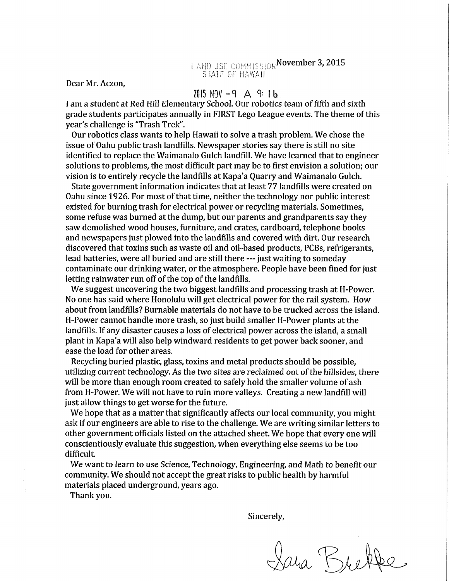Dear Mr. Aczon,

## $2015$  NOV  $-9$  A 9: 1b

I am a student at Red Hill Elementary School. Our robotics team of fifth and sixth grade students participates annually in FIRST Lego League events. The theme of this year's challenge is "Trash Trek".

Our robotics class wants to help Hawaii to solve a trash problem. We chose the issue of Oahu public trash landfills. Newspaper stories say there is still no site identified to replace the Waimanalo Gulch landfill. We have learned that to engineer solutions to problems, the most difficult part may be to first envision a solution; our vision is to entirely recycle the landfills at Kapa'a Quarry and Waimanalo Gulch.

State government information indicates that at least 77 landfills were created on Oahu since 1926. For most of that time, neither the technology nor public interest existed for burning trash for electrical power or recycling materials. Sometimes, some refuse was burned at the dump, but our parents and grandparents say they saw demolished wood houses, furniture, and crates, cardboard, telephone books and newspapers just plowed into the landfills and covered with dirt. Our research discovered that toxins such as waste oil and oil-based products, PCBs, refrigerants, lead batteries, were all buried and are still there --- just waiting to someday contaminate our drinking water, or the atmosphere. People have been fined for just letting rainwater run off of the top of the landfills.

We suggest uncovering the two biggest landfills and processing trash at H-Power. No one has said where Honolulu will get electrical power for the rail system. How about from landfills? Burnable materials do not have to be trucked across the island. H-Power cannot handle more trash, so just build smaller H-Power plants at the landfills. If any disaster causes a loss of electrical power across the island, a small plant in Kapa'a will also help windward residents to get power back sooner, and ease the load for other areas.

Recycling buried plastic, glass, toxins and metal products should be possible, utilizing current technology. As the two sites are reclaimed out of the hillsides, there will be more than enough room created to safely hold the smaller volume of ash from H-Power. We will not have to ruin more valleys. Creating a new landfill will just allow things to get worse for the future.

We hope that as a matter that significantly affects our local community, you might ask if our engineers are able to rise to the challenge. We are writing similar letters to other government officials listed on the attached sheet. We hope that every one will conscientiously evaluate this suggestion, when everything else seems to be too difficult.

We want to learn to use Science, Technology, Engineering, and Math to benefit our community. We should not accept the great risks to public health by harmful materials placed underground, years ago.

Thank you.

Sincerely,

Lara Brette